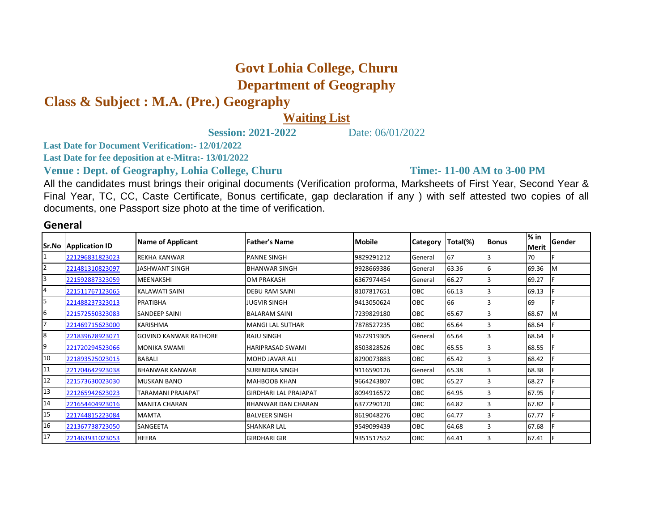## **Govt Lohia College, Churu Department of Geography**

**Class & Subject : M.A. (Pre.) Geography**

## **Waiting List**

**Session: 2021-2022** Date: 06/01/2022

**Last Date for Document Verification:- 12/01/2022**

**Last Date for fee deposition at e-Mitra:- 13/01/2022**

**Venue : Dept. of Geography, Lohia College, Churu** 

**Time:- 11-00 AM to 3-00 PM** 

All the candidates must brings their original documents (Verification proforma, Marksheets of First Year, Second Year & Final Year, TC, CC, Caste Certificate, Bonus certificate, gap declaration if any ) with self attested two copies of all documents, one Passport size photo at the time of verification.

## **General**

| Sr.No          | <b>Application ID</b> | <b>Name of Applicant</b>     | <b>Father's Name</b>         | <b>Mobile</b> | <b>Category</b> | Total(%) | <b>Bonus</b> | $%$ in<br><b>Merit</b> | Gender |
|----------------|-----------------------|------------------------------|------------------------------|---------------|-----------------|----------|--------------|------------------------|--------|
|                | 221296831823023       | <b>REKHA KANWAR</b>          | <b>PANNE SINGH</b>           | 9829291212    | General         | 67       |              | 70                     |        |
| $\overline{2}$ | 221481310823097       | <b>JASHWANT SINGH</b>        | <b>BHANWAR SINGH</b>         | 9928669386    | General         | 63.36    | 16           | 69.36                  | M      |
| 3              | 221592887323059       | MEENAKSHI                    | <b>OM PRAKASH</b>            | 6367974454    | General         | 66.27    |              | 69.27                  |        |
| 4              | 221511767123065       | <b>KALAWATI SAINI</b>        | <b>DEBU RAM SAINI</b>        | 8107817651    | OBC             | 66.13    |              | 69.13                  |        |
| 5              | 221488237323013       | PRATIBHA                     | JUGVIR SINGH                 | 9413050624    | OBC             | 66       |              | 69                     |        |
| 6              | 221572550323083       | SANDEEP SAINI                | <b>BALARAM SAINI</b>         | 7239829180    | OBC             | 65.67    |              | 68.67                  | M      |
| 7              | 221469715623000       | <b>KARISHMA</b>              | <b>MANGI LAL SUTHAR</b>      | 7878527235    | <b>OBC</b>      | 65.64    |              | 68.64                  |        |
| 8              | 221839628923071       | <b>GOVIND KANWAR RATHORE</b> | <b>RAJU SINGH</b>            | 9672919305    | General         | 65.64    |              | 68.64                  |        |
| 9              | 221720294523066       | <b>MONIKA SWAMI</b>          | <b>HARIPRASAD SWAMI</b>      | 8503828526    | <b>OBC</b>      | 65.55    |              | 68.55                  |        |
| 10             | 221893525023015       | <b>BABALI</b>                | <b>MOHD JAVAR ALI</b>        | 8290073883    | <b>OBC</b>      | 65.42    |              | 68.42                  |        |
| 11             | 221704642923038       | <b>BHANWAR KANWAR</b>        | <b>SURENDRA SINGH</b>        | 9116590126    | General         | 65.38    |              | 68.38                  |        |
| 12             | 221573630023030       | <b>MUSKAN BANO</b>           | <b>MAHBOOB KHAN</b>          | 9664243807    | <b>OBC</b>      | 65.27    |              | 68.27                  |        |
| 13             | 221265942623023       | TARAMANI PRAJAPAT            | <b>GIRDHARI LAL PRAJAPAT</b> | 8094916572    | <b>OBC</b>      | 64.95    |              | 67.95                  |        |
| 14             | 221654404923016       | <b>MANITA CHARAN</b>         | <b>BHANWAR DAN CHARAN</b>    | 6377290120    | <b>OBC</b>      | 64.82    |              | 67.82                  |        |
| 15             | 221744815223084       | <b>MAMTA</b>                 | <b>BALVEER SINGH</b>         | 8619048276    | OBC             | 64.77    |              | 67.77                  |        |
| 16             | 221367738723050       | SANGEETA                     | <b>SHANKAR LAL</b>           | 9549099439    | OBC             | 64.68    |              | 67.68                  |        |
| 17             | 221463931023053       | <b>HEERA</b>                 | <b>GIRDHARI GIR</b>          | 9351517552    | OBC             | 64.41    |              | 67.41                  |        |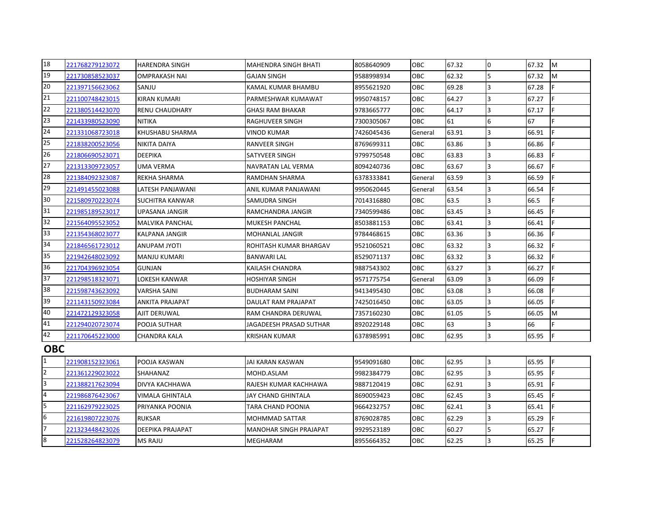| 18             | 221768279123072 | <b>HARENDRA SINGH</b>   | <b>MAHENDRA SINGH BHATI</b>   | 8058640909 | OBC        | 67.32 | $\Omega$       | 67.32 | <b>M</b> |
|----------------|-----------------|-------------------------|-------------------------------|------------|------------|-------|----------------|-------|----------|
| 19             | 221730858523037 | <b>OMPRAKASH NAI</b>    | <b>GAJAN SINGH</b>            | 9588998934 | OBC        | 62.32 | 5              | 67.32 | M        |
| 20             | 221397156623062 | SANJU                   | KAMAL KUMAR BHAMBU            | 8955621920 | OBC        | 69.28 | R.             | 67.28 |          |
| 21             | 221100748423015 | <b>KIRAN KUMARI</b>     | PARMESHWAR KUMAWAT            | 9950748157 | OBC        | 64.27 | 3              | 67.27 | E.       |
| 22             | 221380514423070 | <b>RENU CHAUDHARY</b>   | <b>GHASI RAM BHAKAR</b>       | 9783665777 | OBC        | 64.17 | $\overline{3}$ | 67.17 | F        |
| 23             | 221433980523090 | NITIKA                  | RAGHUVEER SINGH               | 7300305067 | OBC        | 61    | 6              | 67    |          |
| 24             | 221331068723018 | KHUSHABU SHARMA         | <b>VINOD KUMAR</b>            | 7426045436 | General    | 63.91 | $\overline{3}$ | 66.91 | F.       |
| 25             | 221838200523056 | <b>NIKITA DAIYA</b>     | <b>RANVEER SINGH</b>          | 8769699311 | OBC        | 63.86 | R.             | 66.86 |          |
| 26             | 221806690523071 | <b>DEEPIKA</b>          | SATYVEER SINGH                | 9799750548 | OBC        | 63.83 | R              | 66.83 |          |
| 27             | 221313309723057 | <b>UMA VERMA</b>        | NAVRATAN LAL VERMA            | 8094240736 | OBC        | 63.67 | 3              | 66.67 | E.       |
| 28             | 221384092323087 | <b>REKHA SHARMA</b>     | RAMDHAN SHARMA                | 6378333841 | General    | 63.59 | $\overline{3}$ | 66.59 |          |
| 29             | 221491455023088 | LATESH PANJAWANI        | ANIL KUMAR PANJAWANI          | 9950620445 | General    | 63.54 | R              | 66.54 | F.       |
| 30             | 221580970223074 | SUCHITRA KANWAR         | SAMUDRA SINGH                 | 7014316880 | OBC        | 63.5  | R.             | 66.5  | F.       |
| 31             | 221985189523017 | <b>UPASANA JANGIR</b>   | RAMCHANDRA JANGIR             | 7340599486 | <b>OBC</b> | 63.45 | R              | 66.45 | E.       |
| 32             | 221564095523052 | <b>MALVIKA PANCHAL</b>  | <b>MUKESH PANCHAL</b>         | 8503881153 | OBC        | 63.41 | 3              | 66.41 | Ė.       |
| 33             | 221354368023077 | <b>KALPANA JANGIR</b>   | <b>MOHANLAL JANGIR</b>        | 9784468615 | OBC        | 63.36 | $\overline{3}$ | 66.36 |          |
| 34             | 221846561723012 | <b>ITOYL MARUPA</b>     | ROHITASH KUMAR BHARGAV        | 9521060521 | OBC        | 63.32 | 3              | 66.32 |          |
| 35             | 221942648023092 | <b>MANJU KUMARI</b>     | <b>BANWARI LAL</b>            | 8529071137 | OBC        | 63.32 | 3              | 66.32 |          |
| 36             | 221704396923054 | <b>GUNJAN</b>           | KAILASH CHANDRA               | 9887543302 | OBC        | 63.27 | $\overline{3}$ | 66.27 | E.       |
| 37             | 221298518323071 | <b>LOKESH KANWAR</b>    | <b>HOSHIYAR SINGH</b>         | 9571775754 | General    | 63.09 | R              | 66.09 |          |
| 38             | 221598743623092 | <b>VARSHA SAINI</b>     | <b>BUDHARAM SAINI</b>         | 9413495430 | OBC        | 63.08 | R              | 66.08 |          |
| 39             | 221143150923084 | ANKITA PRAJAPAT         | DAULAT RAM PRAJAPAT           | 7425016450 | OBC        | 63.05 | 3              | 66.05 |          |
| 40             | 221472129323058 | AJIT DERUWAL            | RAM CHANDRA DERUWAL           | 7357160230 | OBC        | 61.05 | 5              | 66.05 | <b>M</b> |
| 41             | 221294020723074 | POOJA SUTHAR            | JAGADEESH PRASAD SUTHAR       | 8920229148 | OBC        | 63    | 3              | 66    |          |
| 42             | 221170645223000 | <b>CHANDRA KALA</b>     | <b>KRISHAN KUMAR</b>          | 6378985991 | <b>OBC</b> | 62.95 | $\overline{3}$ | 65.95 | F.       |
| <b>OBC</b>     |                 |                         |                               |            |            |       |                |       |          |
| $\mathbf{1}$   | 221908152323061 | POOJA KASWAN            | JAI KARAN KASWAN              | 9549091680 | OBC        | 62.95 | 3              | 65.95 | F        |
| $\overline{2}$ | 221361229023022 | <b>SHAHANAZ</b>         | MOHD.ASLAM                    | 9982384779 | OBC        | 62.95 | $\overline{3}$ | 65.95 | E.       |
| 3              | 221388217623094 | DIVYA KACHHAWA          | RAJESH KUMAR KACHHAWA         | 9887120419 | OBC        | 62.91 | 3              | 65.91 | E.       |
| $\overline{4}$ | 221986876423067 | VIMALA GHINTALA         | JAY CHAND GHINTALA            | 8690059423 | OBC        | 62.45 | $\overline{3}$ | 65.45 |          |
| 5              | 221162979223025 | PRIYANKA POONIA         | TARA CHAND POONIA             | 9664232757 | OBC        | 62.41 | 3              | 65.41 | E.       |
| 6              | 221619807223076 | <b>RUKSAR</b>           | <b>MOHMMAD SATTAR</b>         | 8769028785 | OBC        | 62.29 | 3              | 65.29 | F.       |
| 17             | 221323448423026 | <b>DEEPIKA PRAJAPAT</b> | <b>MANOHAR SINGH PRAJAPAT</b> | 9929523189 | <b>OBC</b> | 60.27 | 5              | 65.27 | F.       |
| 8              | 221528264823079 | <b>MS RAJU</b>          | <b>MEGHARAM</b>               | 8955664352 | OBC        | 62.25 | $\overline{3}$ | 65.25 |          |
|                |                 |                         |                               |            |            |       |                |       |          |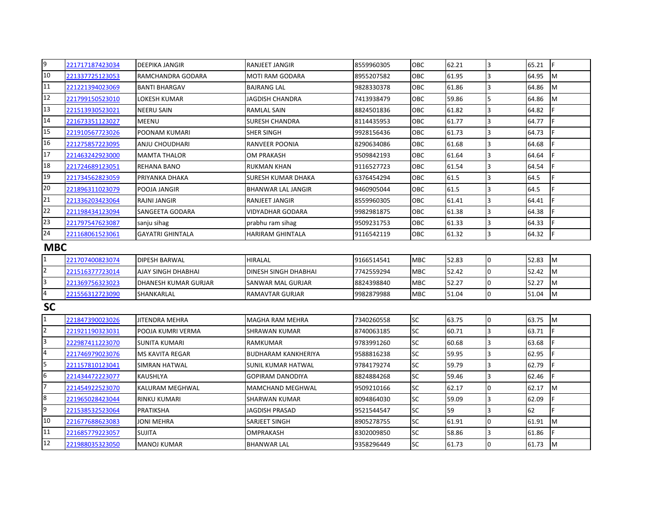| 9                       | 221717187423034 | <b>DEEPIKA JANGIR</b>     | <b>RANJEET JANGIR</b>       | 8559960305 | <b>OBC</b> | 62.21 | 3                       | 65.21 | IF.       |  |
|-------------------------|-----------------|---------------------------|-----------------------------|------------|------------|-------|-------------------------|-------|-----------|--|
| 10                      | 221337725123053 | RAMCHANDRA GODARA         | <b>MOTI RAM GODARA</b>      | 8955207582 | OBC        | 61.95 | 3                       | 64.95 | <b>M</b>  |  |
| 11                      | 221221394023069 | <b>BANTI BHARGAV</b>      | <b>BAJRANG LAL</b>          | 9828330378 | OBC        | 61.86 | 3                       | 64.86 | M         |  |
| 12                      | 221799150523010 | LOKESH KUMAR              | <b>JAGDISH CHANDRA</b>      | 7413938479 | OBC        | 59.86 | 5                       | 64.86 | M         |  |
| 13                      | 221513930523021 | <b>NEERU SAIN</b>         | RAMLAL SAIN                 | 8824501836 | OBC        | 61.82 | 3                       | 64.82 |           |  |
| 14                      | 221673351123027 | MEENU                     | <b>SURESH CHANDRA</b>       | 8114435953 | OBC        | 61.77 | 3                       | 64.77 |           |  |
| 15                      | 221910567723026 | POONAM KUMARI             | SHER SINGH                  | 9928156436 | OBC        | 61.73 | 3                       | 64.73 |           |  |
| 16                      | 221275857223095 | ANJU CHOUDHARI            | RANVEER POONIA              | 8290634086 | OBC        | 61.68 | 3                       | 64.68 |           |  |
| 17                      | 221463242923000 | <b>MAMTA THALOR</b>       | <b>OM PRAKASH</b>           | 9509842193 | OBC        | 61.64 | 3                       | 64.64 |           |  |
| 18                      | 221724689123051 | REHANA BANO               | <b>RUKMAN KHAN</b>          | 9116527723 | <b>OBC</b> | 61.54 | 3                       | 64.54 |           |  |
| 19                      | 221734562823059 | PRIYANKA DHAKA            | SURESH KUMAR DHAKA          | 6376454294 | OBC        | 61.5  | 3                       | 64.5  |           |  |
| 20                      | 221896311023079 | POOJA JANGIR              | <b>BHANWAR LAL JANGIR</b>   | 9460905044 | OBC        | 61.5  | 3                       | 64.5  |           |  |
| 21                      | 221336203423064 | RAJNI JANGIR              | RANJEET JANGIR              | 8559960305 | <b>OBC</b> | 61.41 | 3                       | 64.41 |           |  |
| 22                      | 221198434123094 | SANGEETA GODARA           | VIDYADHAR GODARA            | 9982981875 | OBC        | 61.38 | 3                       | 64.38 |           |  |
| 23                      | 221797547623087 | sanju sihag               | prabhu ram sihag            | 9509231753 | OBC        | 61.33 | 3                       | 64.33 |           |  |
| 24                      | 221168061523061 | <b>GAYATRI GHINTALA</b>   | <b>HARIRAM GHINTALA</b>     | 9116542119 | <b>OBC</b> | 61.32 | 3                       | 64.32 |           |  |
|                         | <b>MBC</b>      |                           |                             |            |            |       |                         |       |           |  |
| $\mathbf{1}$            | 221707400823074 | <b>DIPESH BARWAL</b>      | <b>HIRALAL</b>              | 9166514541 | <b>MBC</b> | 52.83 | 0                       | 52.83 | <b>M</b>  |  |
| $\overline{2}$          | 221516377723014 | <b>AJAY SINGH DHABHAI</b> | <b>DINESH SINGH DHABHAI</b> | 7742559294 | <b>MBC</b> | 52.42 | 0                       | 52.42 | M         |  |
| $\overline{\mathbf{3}}$ | 221369756323023 | DHANESH KUMAR GURJAR      | SANWAR MAL GURJAR           | 8824398840 | <b>MBC</b> | 52.27 | 0                       | 52.27 | <b>M</b>  |  |
| $\overline{\mathbf{4}}$ | 221556312723090 | SHANKARLAL                | RAMAVTAR GURJAR             | 9982879988 | <b>MBC</b> | 51.04 | 0                       | 51.04 | M         |  |
| <b>SC</b>               |                 |                           |                             |            |            |       |                         |       |           |  |
| $\mathbf{1}$            | 221847390023026 | <b>JITENDRA MEHRA</b>     | <b>MAGHA RAM MEHRA</b>      | 7340260558 | <b>SC</b>  | 63.75 | 0                       | 63.75 | M         |  |
| $\overline{2}$          | 221921190323031 | POOJA KUMRI VERMA         | <b>SHRAWAN KUMAR</b>        | 8740063185 | <b>SC</b>  | 60.71 | 3                       | 63.71 |           |  |
| 3                       | 222987411223070 | SUNITA KUMARI             | <b>RAMKUMAR</b>             | 9783991260 | <b>SC</b>  | 60.68 | $\overline{\mathbf{3}}$ | 63.68 |           |  |
| $\overline{4}$          | 221746979023076 | <b>MS KAVITA REGAR</b>    | <b>BUDHARAM KANKHERIYA</b>  | 9588816238 | <b>SC</b>  | 59.95 | $\overline{\mathbf{3}}$ | 62.95 |           |  |
| 5                       | 221157810123041 | <b>SIMRAN HATWAL</b>      | <b>SUNIL KUMAR HATWAL</b>   | 9784179274 | <b>SC</b>  | 59.79 | 3                       | 62.79 |           |  |
| 6                       | 221434472223077 | KAUSHLYA                  | <b>GOPIRAM DANODIYA</b>     | 8824884268 | <b>SC</b>  | 59.46 | 3                       | 62.46 |           |  |
| 7                       | 221454922523070 | KALURAM MEGHWAL           | MAMCHAND MEGHWAL            | 9509210166 | <b>SC</b>  | 62.17 | 0                       | 62.17 | <b>IM</b> |  |
| $\boldsymbol{8}$        | 221965028423044 | <b>RINKU KUMARI</b>       | <b>SHARWAN KUMAR</b>        | 8094864030 | <b>SC</b>  | 59.09 | 3                       | 62.09 | F         |  |
| 9                       | 221538532523064 | PRATIKSHA                 | <b>JAGDISH PRASAD</b>       | 9521544547 | SC         | 59    | 3                       | 62    |           |  |
| 10                      | 221677688623083 | JONI MEHRA                | SARJEET SINGH               | 8905278755 | <b>SC</b>  | 61.91 | $\Omega$                | 61.91 | M         |  |
| 11                      | 221685779223057 | <b>SUJITA</b>             | <b>OMPRAKASH</b>            | 8302009850 | <b>SC</b>  | 58.86 | 3                       | 61.86 |           |  |
| 12                      | 221988035323050 | <b>MANOJ KUMAR</b>        | <b>BHANWAR LAL</b>          | 9358296449 | <b>SC</b>  | 61.73 | 0                       | 61.73 | Iм        |  |